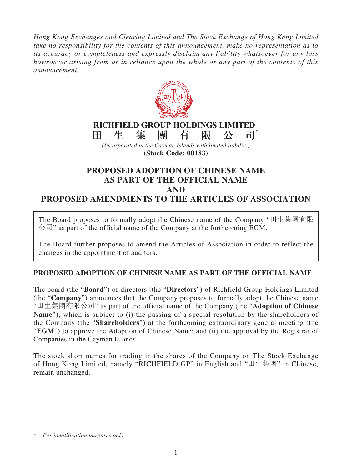*Hong Kong Exchanges and Clearing Limited and The Stock Exchange of Hong Kong Limited take no responsibility for the contents of this announcement, make no representation as to its accuracy or completeness and expressly disclaim any liability whatsoever for any loss howsoever arising from or in reliance upon the whole or any part of the contents of this announcement.*



**(Stock Code: 00183)**

## **PROPOSED ADOPTION OF CHINESE NAME AS PART OF THE OFFICIAL NAME AND PROPOSED AMENDMENTS TO THE ARTICLES OF ASSOCIATION**

The Board proposes to formally adopt the Chinese name of the Company "田生集團有限  $\Diamond \exists$  " as part of the official name of the Company at the forthcoming EGM.

The Board further proposes to amend the Articles of Association in order to reflect the changes in the appointment of auditors.

## **PROPOSED ADOPTION OF CHINESE NAME AS PART OF THE OFFICIAL NAME**

The board (the "**Board**") of directors (the "**Directors**") of Richfield Group Holdings Limited (the "**Company**") announces that the Company proposes to formally adopt the Chinese name "田生集團有限公司" as part of the official name of the Company (the "**Adoption of Chinese Name**"), which is subject to (i) the passing of a special resolution by the shareholders of the Company (the "**Shareholders**") at the forthcoming extraordinary general meeting (the "**EGM**") to approve the Adoption of Chinese Name; and (ii) the approval by the Registrar of Companies in the Cayman Islands.

The stock short names for trading in the shares of the Company on The Stock Exchange of Hong Kong Limited, namely "RICHFIELD GP" in English and "田生集團" in Chinese, remain unchanged.

<sup>\*</sup> *For identification purposes only*